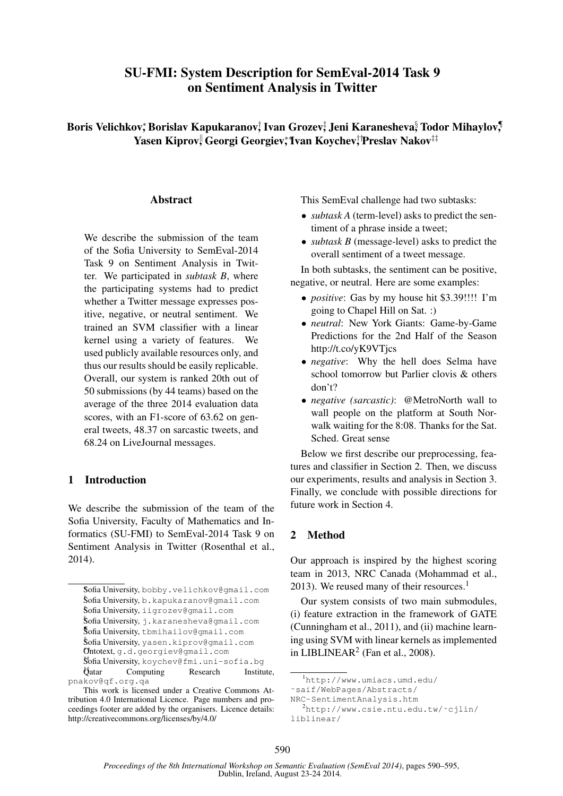# SU-FMI: System Description for SemEval-2014 Task 9 on Sentiment Analysis in Twitter

Boris Velichkov;\*Borislav Kapukaranov,†Ivan Grozev;‡Jeni Karanesheva§ Todor Mihaylov,¶ Yasen Kiprov, Georgi Georgiev;\*Ivan Koychev,†'Preslav Nakov‡‡

#### **Abstract**

We describe the submission of the team of the Sofia University to SemEval-2014 Task 9 on Sentiment Analysis in Twitter. We participated in *subtask B*, where the participating systems had to predict whether a Twitter message expresses positive, negative, or neutral sentiment. We trained an SVM classifier with a linear kernel using a variety of features. We used publicly available resources only, and thus our results should be easily replicable. Overall, our system is ranked 20th out of 50 submissions (by 44 teams) based on the average of the three 2014 evaluation data scores, with an F1-score of 63.62 on general tweets, 48.37 on sarcastic tweets, and 68.24 on LiveJournal messages.

## 1 Introduction

We describe the submission of the team of the Sofia University, Faculty of Mathematics and Informatics (SU-FMI) to SemEval-2014 Task 9 on Sentiment Analysis in Twitter (Rosenthal et al., 2014).

This SemEval challenge had two subtasks:

- *subtask A* (term-level) asks to predict the sentiment of a phrase inside a tweet;
- *subtask B* (message-level) asks to predict the overall sentiment of a tweet message.

In both subtasks, the sentiment can be positive, negative, or neutral. Here are some examples:

- *positive*: Gas by my house hit \$3.39!!!! I'm going to Chapel Hill on Sat. :)
- *neutral*: New York Giants: Game-by-Game Predictions for the 2nd Half of the Season http://t.co/yK9VTjcs
- *negative*: Why the hell does Selma have school tomorrow but Parlier clovis & others don't?
- *negative (sarcastic)*: @MetroNorth wall to wall people on the platform at South Norwalk waiting for the 8:08. Thanks for the Sat. Sched. Great sense

Below we first describe our preprocessing, features and classifier in Section 2. Then, we discuss our experiments, results and analysis in Section 3. Finally, we conclude with possible directions for future work in Section 4.

# 2 Method

Our approach is inspired by the highest scoring team in 2013, NRC Canada (Mohammad et al., 2013). We reused many of their resources. $<sup>1</sup>$ </sup>

Our system consists of two main submodules, (i) feature extraction in the framework of GATE (Cunningham et al., 2011), and (ii) machine learning using SVM with linear kernels as implemented in LIBLINEAR<sup>2</sup> (Fan et al., 2008).

<sup>∗</sup> Sofia University, bobby.velichkov@gmail.com † Sofia University, b.kapukaranov@gmail.com  $\operatorname{\mathsf{Soft}}$  University, iigrozev@gmail.com § Sofia University, j.karanesheva@gmail.com ¶ Sofia University, tbmihailov@gmail.com  ${\tt Softa}\,$ University,  ${\tt y}$ asen.kiprov@gmail.com ∗∗Ontotext, g.d.georgiev@gmail.com ††Sofia University, koychev@fmi.uni-sofia.bg  $\ddot{\theta}$ atar Computing Research Institute, pnakov@qf.org.qa

This work is licensed under a Creative Commons Attribution 4.0 International Licence. Page numbers and proceedings footer are added by the organisers. Licence details: http://creativecommons.org/licenses/by/4.0/

<sup>1</sup>http://www.umiacs.umd.edu/

<sup>˜</sup>saif/WebPages/Abstracts/

NRC-SentimentAnalysis.htm

<sup>2</sup>http://www.csie.ntu.edu.tw/˜cjlin/ liblinear/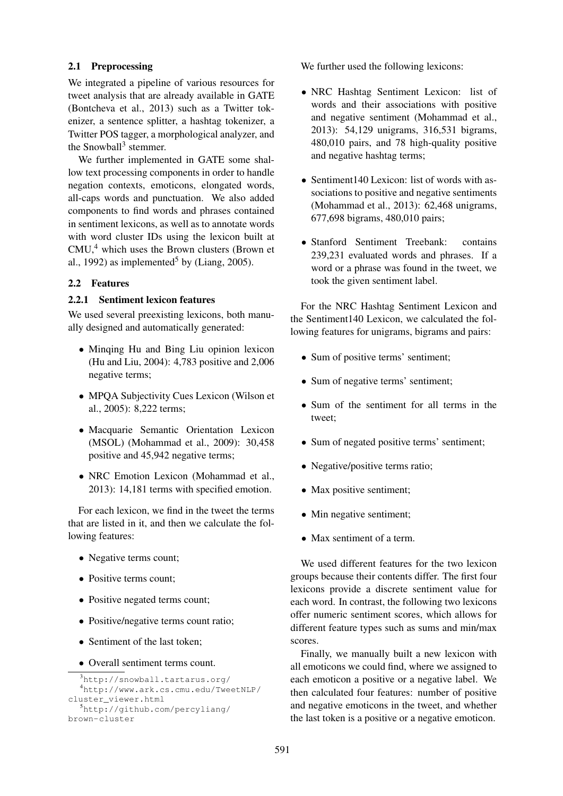## 2.1 Preprocessing

We integrated a pipeline of various resources for tweet analysis that are already available in GATE (Bontcheva et al., 2013) such as a Twitter tokenizer, a sentence splitter, a hashtag tokenizer, a Twitter POS tagger, a morphological analyzer, and the Snowball<sup>3</sup> stemmer.

We further implemented in GATE some shallow text processing components in order to handle negation contexts, emoticons, elongated words, all-caps words and punctuation. We also added components to find words and phrases contained in sentiment lexicons, as well as to annotate words with word cluster IDs using the lexicon built at  $CMU<sub>1</sub><sup>4</sup>$  which uses the Brown clusters (Brown et al., 1992) as implemented<sup>5</sup> by (Liang, 2005).

# 2.2 Features

## 2.2.1 Sentiment lexicon features

We used several preexisting lexicons, both manually designed and automatically generated:

- Minqing Hu and Bing Liu opinion lexicon (Hu and Liu, 2004): 4,783 positive and 2,006 negative terms;
- MPQA Subjectivity Cues Lexicon (Wilson et al., 2005): 8,222 terms;
- Macquarie Semantic Orientation Lexicon (MSOL) (Mohammad et al., 2009): 30,458 positive and 45,942 negative terms;
- NRC Emotion Lexicon (Mohammad et al., 2013): 14,181 terms with specified emotion.

For each lexicon, we find in the tweet the terms that are listed in it, and then we calculate the following features:

- Negative terms count;
- Positive terms count:
- Positive negated terms count;
- Positive/negative terms count ratio;
- Sentiment of the last token;
- Overall sentiment terms count.

```
3http://snowball.tartarus.org/
  4http://www.ark.cs.cmu.edu/TweetNLP/
cluster_viewer.html
  5http://github.com/percyliang/
brown-cluster
```
We further used the following lexicons:

- NRC Hashtag Sentiment Lexicon: list of words and their associations with positive and negative sentiment (Mohammad et al., 2013): 54,129 unigrams, 316,531 bigrams, 480,010 pairs, and 78 high-quality positive and negative hashtag terms;
- Sentiment140 Lexicon: list of words with associations to positive and negative sentiments (Mohammad et al., 2013): 62,468 unigrams, 677,698 bigrams, 480,010 pairs;
- Stanford Sentiment Treebank: contains 239,231 evaluated words and phrases. If a word or a phrase was found in the tweet, we took the given sentiment label.

For the NRC Hashtag Sentiment Lexicon and the Sentiment140 Lexicon, we calculated the following features for unigrams, bigrams and pairs:

- Sum of positive terms' sentiment;
- Sum of negative terms' sentiment;
- Sum of the sentiment for all terms in the tweet;
- Sum of negated positive terms' sentiment;
- Negative/positive terms ratio;
- Max positive sentiment;
- Min negative sentiment;
- Max sentiment of a term.

We used different features for the two lexicon groups because their contents differ. The first four lexicons provide a discrete sentiment value for each word. In contrast, the following two lexicons offer numeric sentiment scores, which allows for different feature types such as sums and min/max scores.

Finally, we manually built a new lexicon with all emoticons we could find, where we assigned to each emoticon a positive or a negative label. We then calculated four features: number of positive and negative emoticons in the tweet, and whether the last token is a positive or a negative emoticon.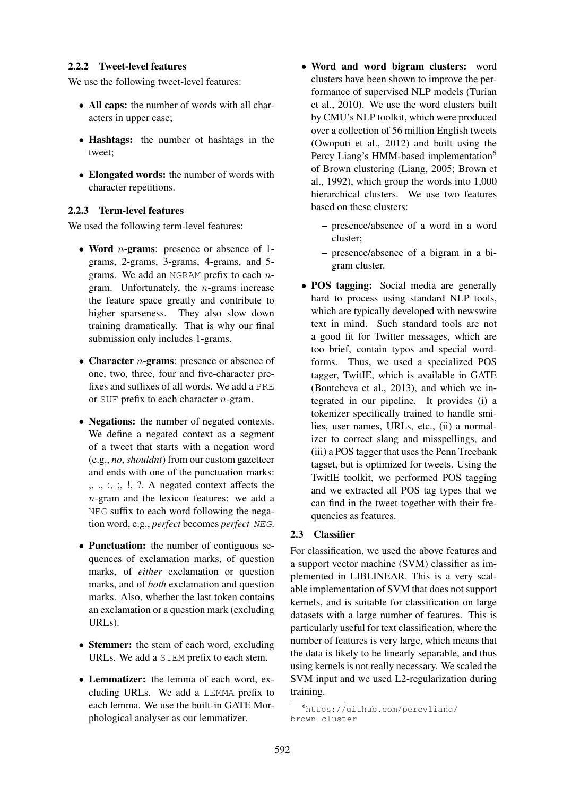#### 2.2.2 Tweet-level features

We use the following tweet-level features:

- All caps: the number of words with all characters in upper case;
- Hashtags: the number ot hashtags in the tweet;
- Elongated words: the number of words with character repetitions.

## 2.2.3 Term-level features

We used the following term-level features:

- Word *n*-grams: presence or absence of 1grams, 2-grams, 3-grams, 4-grams, and 5 grams. We add an NGRAM prefix to each  $n$ gram. Unfortunately, the  $n$ -grams increase the feature space greatly and contribute to higher sparseness. They also slow down training dramatically. That is why our final submission only includes 1-grams.
- Character  $n$ -grams: presence or absence of one, two, three, four and five-character prefixes and suffixes of all words. We add a PRE or SUF prefix to each character  $n$ -gram.
- **Negations:** the number of negated contexts. We define a negated context as a segment of a tweet that starts with a negation word (e.g., *no*, *shouldnt*) from our custom gazetteer and ends with one of the punctuation marks:  $, \ldots$ ;  $, \ldots$ ;  $\ldots$  ?. A negated context affects the n-gram and the lexicon features: we add a NEG suffix to each word following the negation word, e.g., *perfect* becomes *perfect\_NEG*.
- Punctuation: the number of contiguous sequences of exclamation marks, of question marks, of *either* exclamation or question marks, and of *both* exclamation and question marks. Also, whether the last token contains an exclamation or a question mark (excluding URLs).
- Stemmer: the stem of each word, excluding URLs. We add a STEM prefix to each stem.
- Lemmatizer: the lemma of each word, excluding URLs. We add a LEMMA prefix to each lemma. We use the built-in GATE Morphological analyser as our lemmatizer.
- Word and word bigram clusters: word clusters have been shown to improve the performance of supervised NLP models (Turian et al., 2010). We use the word clusters built by CMU's NLP toolkit, which were produced over a collection of 56 million English tweets (Owoputi et al., 2012) and built using the Percy Liang's HMM-based implementation<sup>6</sup> of Brown clustering (Liang, 2005; Brown et al., 1992), which group the words into 1,000 hierarchical clusters. We use two features based on these clusters:
	- presence/absence of a word in a word cluster;
	- presence/absence of a bigram in a bigram cluster.
- POS tagging: Social media are generally hard to process using standard NLP tools, which are typically developed with newswire text in mind. Such standard tools are not a good fit for Twitter messages, which are too brief, contain typos and special wordforms. Thus, we used a specialized POS tagger, TwitIE, which is available in GATE (Bontcheva et al., 2013), and which we integrated in our pipeline. It provides (i) a tokenizer specifically trained to handle smilies, user names, URLs, etc., (ii) a normalizer to correct slang and misspellings, and (iii) a POS tagger that uses the Penn Treebank tagset, but is optimized for tweets. Using the TwitIE toolkit, we performed POS tagging and we extracted all POS tag types that we can find in the tweet together with their frequencies as features.

## 2.3 Classifier

For classification, we used the above features and a support vector machine (SVM) classifier as implemented in LIBLINEAR. This is a very scalable implementation of SVM that does not support kernels, and is suitable for classification on large datasets with a large number of features. This is particularly useful for text classification, where the number of features is very large, which means that the data is likely to be linearly separable, and thus using kernels is not really necessary. We scaled the SVM input and we used L2-regularization during training.

<sup>6</sup>https://github.com/percyliang/ brown-cluster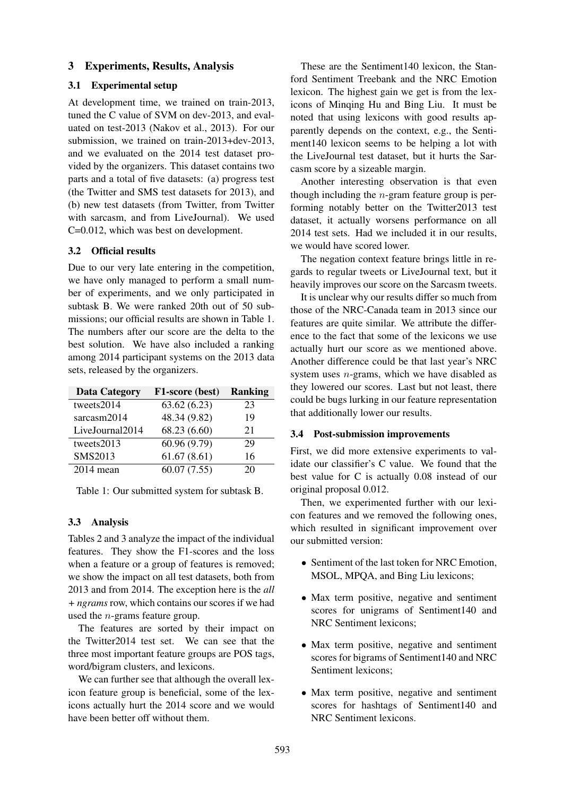## 3 Experiments, Results, Analysis

#### 3.1 Experimental setup

At development time, we trained on train-2013, tuned the C value of SVM on dev-2013, and evaluated on test-2013 (Nakov et al., 2013). For our submission, we trained on train-2013+dev-2013, and we evaluated on the 2014 test dataset provided by the organizers. This dataset contains two parts and a total of five datasets: (a) progress test (the Twitter and SMS test datasets for 2013), and (b) new test datasets (from Twitter, from Twitter with sarcasm, and from LiveJournal). We used C=0.012, which was best on development.

#### 3.2 Official results

Due to our very late entering in the competition, we have only managed to perform a small number of experiments, and we only participated in subtask B. We were ranked 20th out of 50 submissions; our official results are shown in Table 1. The numbers after our score are the delta to the best solution. We have also included a ranking among 2014 participant systems on the 2013 data sets, released by the organizers.

| <b>Data Category</b> | F1-score (best) | <b>Ranking</b> |
|----------------------|-----------------|----------------|
| tweets2014           | 63.62(6.23)     | 23             |
| sarcasm2014          | 48.34 (9.82)    | 19             |
| LiveJournal2014      | 68.23 (6.60)    | 21             |
| tweets2013           | 60.96 (9.79)    | 29             |
| SMS2013              | 61.67(8.61)     | 16             |
| $2014$ mean          | 60.07(7.55)     | 20             |

Table 1: Our submitted system for subtask B.

#### 3.3 Analysis

Tables 2 and 3 analyze the impact of the individual features. They show the F1-scores and the loss when a feature or a group of features is removed; we show the impact on all test datasets, both from 2013 and from 2014. The exception here is the *all + ngrams* row, which contains our scores if we had used the n-grams feature group.

The features are sorted by their impact on the Twitter2014 test set. We can see that the three most important feature groups are POS tags, word/bigram clusters, and lexicons.

We can further see that although the overall lexicon feature group is beneficial, some of the lexicons actually hurt the 2014 score and we would have been better off without them.

These are the Sentiment140 lexicon, the Stanford Sentiment Treebank and the NRC Emotion lexicon. The highest gain we get is from the lexicons of Minqing Hu and Bing Liu. It must be noted that using lexicons with good results apparently depends on the context, e.g., the Sentiment140 lexicon seems to be helping a lot with the LiveJournal test dataset, but it hurts the Sarcasm score by a sizeable margin.

Another interesting observation is that even though including the  $n$ -gram feature group is performing notably better on the Twitter2013 test dataset, it actually worsens performance on all 2014 test sets. Had we included it in our results, we would have scored lower.

The negation context feature brings little in regards to regular tweets or LiveJournal text, but it heavily improves our score on the Sarcasm tweets.

It is unclear why our results differ so much from those of the NRC-Canada team in 2013 since our features are quite similar. We attribute the difference to the fact that some of the lexicons we use actually hurt our score as we mentioned above. Another difference could be that last year's NRC system uses n-grams, which we have disabled as they lowered our scores. Last but not least, there could be bugs lurking in our feature representation that additionally lower our results.

#### 3.4 Post-submission improvements

First, we did more extensive experiments to validate our classifier's C value. We found that the best value for C is actually 0.08 instead of our original proposal 0.012.

Then, we experimented further with our lexicon features and we removed the following ones, which resulted in significant improvement over our submitted version:

- Sentiment of the last token for NRC Emotion, MSOL, MPQA, and Bing Liu lexicons;
- Max term positive, negative and sentiment scores for unigrams of Sentiment140 and NRC Sentiment lexicons;
- Max term positive, negative and sentiment scores for bigrams of Sentiment140 and NRC Sentiment lexicons;
- Max term positive, negative and sentiment scores for hashtags of Sentiment140 and NRC Sentiment lexicons.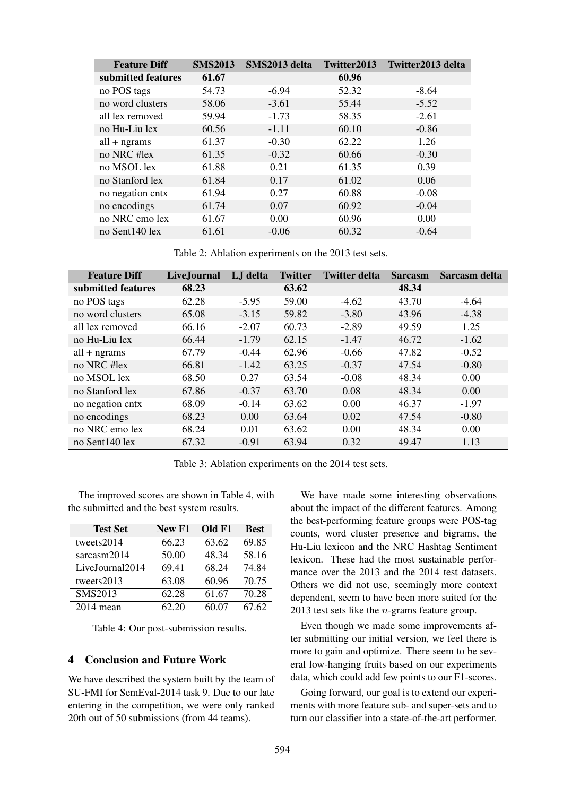| <b>Feature Diff</b> | <b>SMS2013</b> | SMS2013 delta | Twitter2013 | Twitter2013 delta |
|---------------------|----------------|---------------|-------------|-------------------|
| submitted features  | 61.67          |               | 60.96       |                   |
| no POS tags         | 54.73          | $-6.94$       | 52.32       | $-8.64$           |
| no word clusters    | 58.06          | $-3.61$       | 55.44       | $-5.52$           |
| all lex removed     | 59.94          | $-1.73$       | 58.35       | $-2.61$           |
| no Hu-Liu lex       | 60.56          | $-1.11$       | 60.10       | $-0.86$           |
| $all + ngrams$      | 61.37          | $-0.30$       | 62.22       | 1.26              |
| no NRC #lex         | 61.35          | $-0.32$       | 60.66       | $-0.30$           |
| no MSOL lex         | 61.88          | 0.21          | 61.35       | 0.39              |
| no Stanford lex     | 61.84          | 0.17          | 61.02       | 0.06              |
| no negation cntx    | 61.94          | 0.27          | 60.88       | $-0.08$           |
| no encodings        | 61.74          | 0.07          | 60.92       | $-0.04$           |
| no NRC emo lex      | 61.67          | 0.00          | 60.96       | 0.00              |
| no Sent140 lex      | 61.61          | $-0.06$       | 60.32       | $-0.64$           |

Table 2: Ablation experiments on the 2013 test sets.

| <b>Feature Diff</b> | Live, Journal | LJ delta | <b>Twitter</b> | <b>Twitter delta</b> | <b>Sarcasm</b> | Sarcasm delta |
|---------------------|---------------|----------|----------------|----------------------|----------------|---------------|
| submitted features  | 68.23         |          | 63.62          |                      | 48.34          |               |
| no POS tags         | 62.28         | $-5.95$  | 59.00          | $-4.62$              | 43.70          | $-4.64$       |
| no word clusters    | 65.08         | $-3.15$  | 59.82          | $-3.80$              | 43.96          | $-4.38$       |
| all lex removed     | 66.16         | $-2.07$  | 60.73          | $-2.89$              | 49.59          | 1.25          |
| no Hu-Liu lex       | 66.44         | $-1.79$  | 62.15          | $-1.47$              | 46.72          | $-1.62$       |
| $all + ngrams$      | 67.79         | $-0.44$  | 62.96          | $-0.66$              | 47.82          | $-0.52$       |
| no NRC # $lex$      | 66.81         | $-1.42$  | 63.25          | $-0.37$              | 47.54          | $-0.80$       |
| no MSOL lex         | 68.50         | 0.27     | 63.54          | $-0.08$              | 48.34          | 0.00          |
| no Stanford lex     | 67.86         | $-0.37$  | 63.70          | 0.08                 | 48.34          | 0.00          |
| no negation cntx    | 68.09         | $-0.14$  | 63.62          | 0.00                 | 46.37          | $-1.97$       |
| no encodings        | 68.23         | 0.00     | 63.64          | 0.02                 | 47.54          | $-0.80$       |
| no NRC emo lex      | 68.24         | 0.01     | 63.62          | 0.00                 | 48.34          | 0.00          |
| no Sent140 lex      | 67.32         | $-0.91$  | 63.94          | 0.32                 | 49.47          | 1.13          |

Table 3: Ablation experiments on the 2014 test sets.

The improved scores are shown in Table 4, with the submitted and the best system results.

| <b>Test Set</b> | New F1 | Old F1 | <b>Best</b> |
|-----------------|--------|--------|-------------|
| tweets2014      | 66.23  | 63.62  | 69.85       |
| sarcasm2014     | 50.00  | 48.34  | 58.16       |
| LiveJournal2014 | 69.41  | 68.24  | 74.84       |
| tweets2013      | 63.08  | 60.96  | 70.75       |
| SMS2013         | 62.28  | 61.67  | 70.28       |
| $2014$ mean     | 62.20  | 60.07  | 67.62       |

Table 4: Our post-submission results.

# 4 Conclusion and Future Work

We have described the system built by the team of SU-FMI for SemEval-2014 task 9. Due to our late entering in the competition, we were only ranked 20th out of 50 submissions (from 44 teams).

We have made some interesting observations about the impact of the different features. Among the best-performing feature groups were POS-tag counts, word cluster presence and bigrams, the Hu-Liu lexicon and the NRC Hashtag Sentiment lexicon. These had the most sustainable performance over the 2013 and the 2014 test datasets. Others we did not use, seemingly more context dependent, seem to have been more suited for the 2013 test sets like the n-grams feature group.

Even though we made some improvements after submitting our initial version, we feel there is more to gain and optimize. There seem to be several low-hanging fruits based on our experiments data, which could add few points to our F1-scores.

Going forward, our goal is to extend our experiments with more feature sub- and super-sets and to turn our classifier into a state-of-the-art performer.